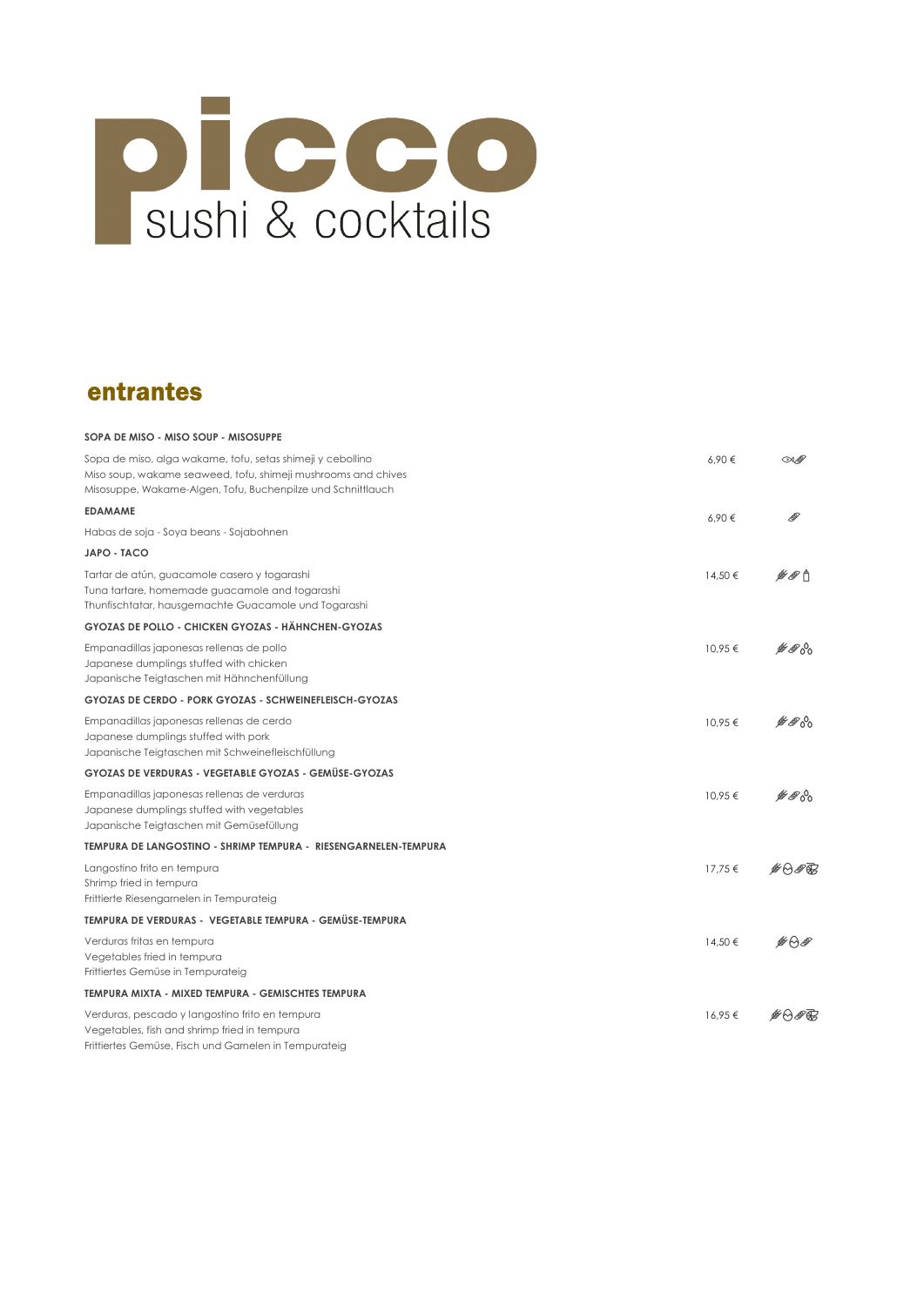

### entrantes

| SOPA DE MISO - MISO SOUP - MISOSUPPE                                                                                                                                                       |         |                |
|--------------------------------------------------------------------------------------------------------------------------------------------------------------------------------------------|---------|----------------|
| Sopa de miso, alga wakame, tofu, setas shimeji y cebollino<br>Miso soup, wakame seaweed, tofu, shimeji mushrooms and chives<br>Misosuppe, Wakame-Algen, Tofu, Buchenpilze und Schnittlauch | 6.90€   | M ®            |
| <b>EDAMAME</b>                                                                                                                                                                             | 6,90€   |                |
| Habas de soja - Soya beans - Sojabohnen                                                                                                                                                    |         |                |
| JAPO - TACO                                                                                                                                                                                |         |                |
| Tartar de atún, guacamole casero y togarashi<br>Tuna tartare, homemade guacamole and togarashi<br>Thunfischtatar, hausgemachte Guacamole und Togarashi                                     | 14,50 € | է⊗ћ            |
| GYOZAS DE POLLO - CHICKEN GYOZAS - HÄHNCHEN-GYOZAS                                                                                                                                         |         |                |
| Empanadillas japonesas rellenas de pollo<br>Japanese dumplings stuffed with chicken<br>Japanische Teigtaschen mit Hähnchenfüllung                                                          | 10,95 € | ฿๎®๙           |
| <b>GYOZAS DE CERDO - PORK GYOZAS - SCHWEINEFLEISCH-GYOZAS</b>                                                                                                                              |         |                |
| Empanadillas japonesas rellenas de cerdo<br>Japanese dumplings stuffed with pork<br>Japanische Teigtaschen mit Schweinefleischfüllung                                                      | 10,95€  | <i>⊯®</i> ∘°   |
| GYOZAS DE VERDURAS - VEGETABLE GYOZAS - GEMÜSE-GYOZAS                                                                                                                                      |         |                |
| Empanadillas japonesas rellenas de verduras<br>Japanese dumplings stuffed with vegetables<br>Japanische Teigtaschen mit Gemüsefüllung                                                      | 10.95€  | $\n  A$        |
| TEMPURA DE LANGOSTINO - SHRIMP TEMPURA - RIESENGARNELEN-TEMPURA                                                                                                                            |         |                |
| Langostino frito en tempura<br>Shrimp fried in tempura<br>Frittierte Riesengarnelen in Tempurateig                                                                                         | 17,75 € | <b>⊯</b> ⊖⊛क्त |
| TEMPURA DE VERDURAS - VEGETABLE TEMPURA - GEMÜSE-TEMPURA                                                                                                                                   |         |                |
| Verduras fritas en tempura<br>Vegetables fried in tempura<br>Frittiertes Gemüse in Tempurateig                                                                                             | 14.50€  | <b>¥</b> ⊖®    |
| TEMPURA MIXTA - MIXED TEMPURA - GEMISCHTES TEMPURA                                                                                                                                         |         |                |
| Verduras, pescado y langostino frito en tempura<br>Vegetables, fish and shrimp fried in tempura<br>Frittiertes Gemüse, Fisch und Garnelen in Tempurateig                                   | 16.95€  | <b>#</b> ⊖®क्त |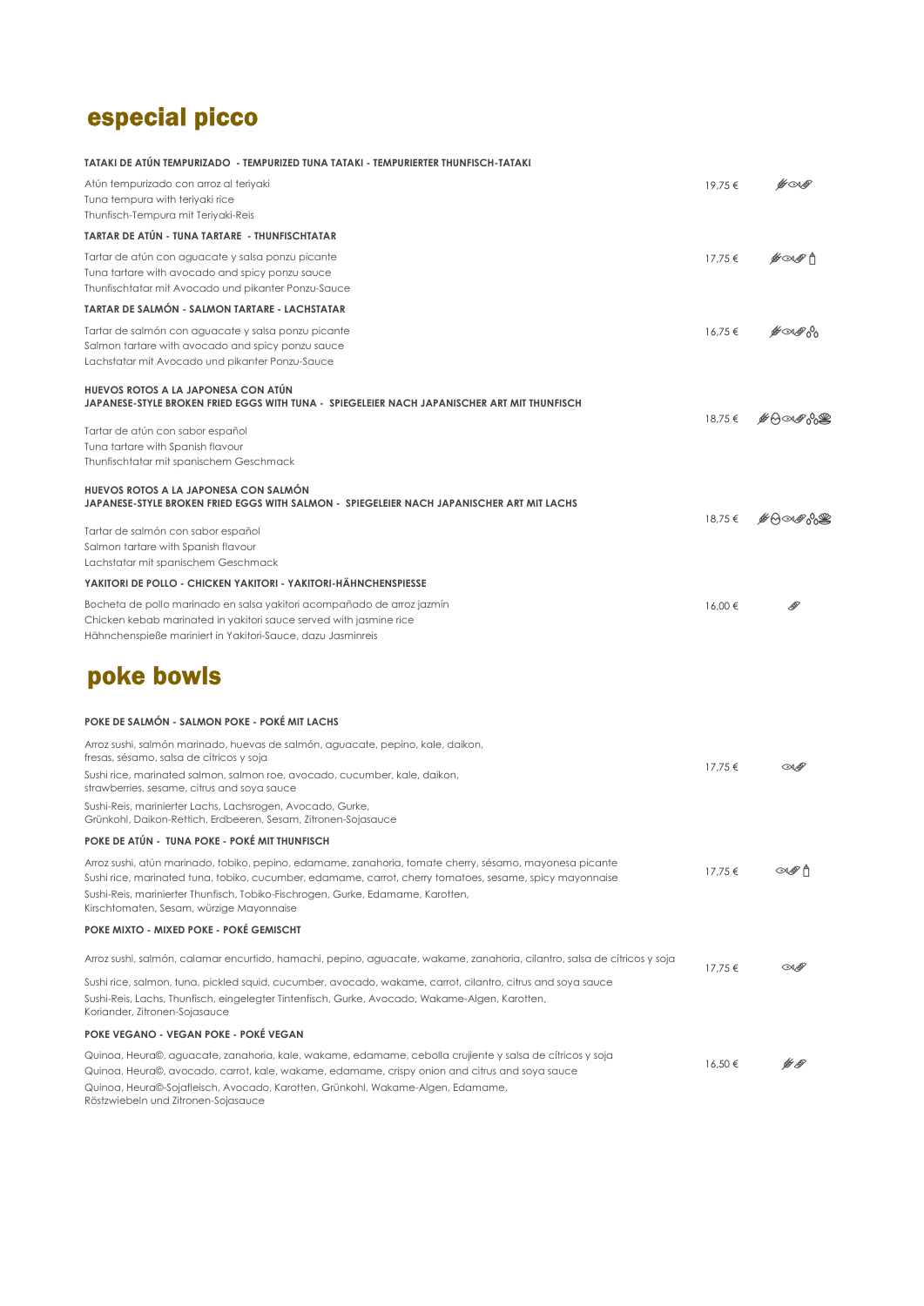# especial picco

| TATAKI DE ATÚN TEMPURIZADO - TEMPURIZED TUNA TATAKI - TEMPURIERTER THUNFISCH-TATAKI                                                                                                                                                                                                                    |         |                                                |
|--------------------------------------------------------------------------------------------------------------------------------------------------------------------------------------------------------------------------------------------------------------------------------------------------------|---------|------------------------------------------------|
| Atún tempurizado con arroz al teriyaki<br>Tuna tempura with teriyaki rice<br>Thunfisch-Tempura mit Teriyaki-Reis                                                                                                                                                                                       | 19,75 € | ⊯∞≰                                            |
| TARTAR DE ATÚN - TUNA TARTARE - THUNFISCHTATAR                                                                                                                                                                                                                                                         |         |                                                |
| Tartar de atún con aguacate y salsa ponzu picante<br>Tuna tartare with avocado and spicy ponzu sauce<br>Thunfischtatar mit Avocado und pikanter Ponzu-Sauce                                                                                                                                            | 17,75€  | <i>⊯</i> ∞⊛'f                                  |
| TARTAR DE SALMÓN - SALMON TARTARE - LACHSTATAR                                                                                                                                                                                                                                                         |         |                                                |
| Tartar de salmón con aguacate y salsa ponzu picante<br>Salmon tartare with avocado and spicy ponzu sauce<br>Lachstatar mit Avocado und pikanter Ponzu-Sauce                                                                                                                                            | 16,75€  | <i>≝</i> ∽⊛^                                   |
| HUEVOS ROTOS A LA JAPONESA CON ATÚN<br>JAPANESE-STYLE BROKEN FRIED EGGS WITH TUNA - SPIEGELEIER NACH JAPANISCHER ART MIT THUNFISCH                                                                                                                                                                     |         |                                                |
| Tartar de atún con sabor español<br>Tuna tartare with Spanish flavour<br>Thunfischtatar mit spanischem Geschmack                                                                                                                                                                                       | 18,75 € | <b>₫₩₩</b> ₩                                   |
| HUEVOS ROTOS A LA JAPONESA CON SALMÓN<br>JAPANESE-STYLE BROKEN FRIED EGGS WITH SALMON - SPIEGELEIER NACH JAPANISCHER ART MIT LACHS                                                                                                                                                                     |         | 18,75€ #00000                                  |
| Tartar de salmón con sabor español<br>Salmon tartare with Spanish flavour<br>Lachstatar mit spanischem Geschmack                                                                                                                                                                                       |         |                                                |
| YAKITORI DE POLLO - CHICKEN YAKITORI - YAKITORI-HÄHNCHENSPIESSE                                                                                                                                                                                                                                        |         |                                                |
| Bocheta de pollo marinado en salsa yakitori acompañado de arroz jazmín<br>Chicken kebab marinated in yakitori sauce served with jasmine rice<br>Hähnchenspieße mariniert in Yakitori-Sauce, dazu Jasminreis                                                                                            | 16.00 € |                                                |
| poke bowls                                                                                                                                                                                                                                                                                             |         |                                                |
| POKE DE SALMÓN - SALMON POKE - POKÉ MIT LACHS                                                                                                                                                                                                                                                          |         |                                                |
| Arroz sushi, salmón marinado, huevas de salmón, aguacate, pepino, kale, daikon,<br>fresas, sésamo, salsa de cítricos y soja                                                                                                                                                                            |         |                                                |
| Sushi rice, marinated salmon, salmon roe, avocado, cucumber, kale, daikon,<br>strawberries, sesame, citrus and soya sauce                                                                                                                                                                              | 17,75 € | <b>CA</b>                                      |
| Sushi-Reis, marinierter Lachs, Lachsrogen, Avocado, Gurke,<br>Grünkohl, Daikon-Rettich, Erdbeeren, Sesam, Zitronen-Sojasauce                                                                                                                                                                           |         |                                                |
| POKE DE ATÚN - TUNA POKE - POKÉ MIT THUNFISCH                                                                                                                                                                                                                                                          |         |                                                |
| Arroz sushi, atún marinado, tobiko, pepino, edamame, zanahoria, tomate cherry, sésamo, mayonesa picante<br>Sushi rice, marinated tuna, tobiko, cucumber, edamame, carrot, cherry tomatoes, sesame, spicy mayonnaise<br>Sushi-Reis, marinierter Thunfisch, Tobiko-Fischrogen, Gurke, Edamame, Karotten, | 17,75 € |                                                |
| Kirschtomaten, Sesam, würzige Mayonnaise                                                                                                                                                                                                                                                               |         |                                                |
| POKE MIXTO - MIXED POKE - POKÉ GEMISCHT                                                                                                                                                                                                                                                                |         |                                                |
| Arroz sushi, salmón, calamar encurtido, hamachi, pepino, aguacate, wakame, zanahoria, cilantro, salsa de cítricos y soja                                                                                                                                                                               | 17,75€  | $\mathcal{A}$                                  |
| Sushi rice, salmon, tuna, pickled squid, cucumber, avocado, wakame, carrot, cilantro, citrus and soya sauce                                                                                                                                                                                            |         |                                                |
| Sushi-Reis, Lachs, Thunfisch, eingelegter Tintenfisch, Gurke, Avocado, Wakame-Algen, Karotten,<br>Koriander, Zitronen-Sojasauce                                                                                                                                                                        |         |                                                |
| POKE VEGANO - VEGAN POKE - POKÉ VEGAN                                                                                                                                                                                                                                                                  |         |                                                |
| Quinoa, Heura©, aguacate, zanahoria, kale, wakame, edamame, cebolla crujiente y salsa de cítricos y soja<br>Quinoa, Heura©, avocado, carrot, kale, wakame, edamame, crispy onion and citrus and soya sauce<br>Quinoa, Heura©-Sojafleisch, Avocado, Karotten, Grünkohl, Wakame-Algen, Edamame,          | 16,50€  | $\not\!\!\!\!\!/ \not\!\!\!\! \in \mathscr{A}$ |

Röstzwiebeln und Zitronen-Sojasauce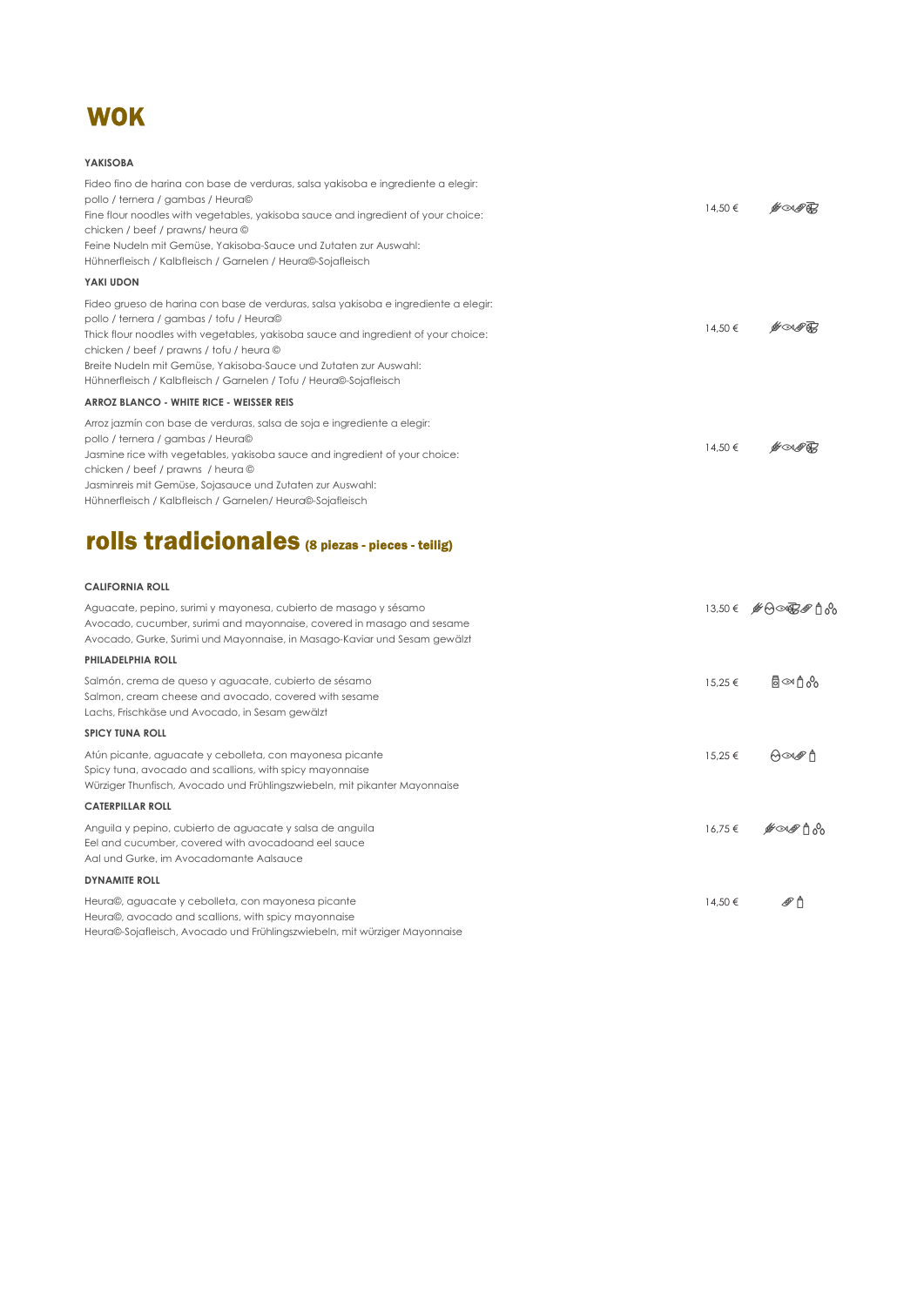

#### YAKISOBA

| Fideo fino de harina con base de verduras, salsa yakisoba e ingrediente a elegir:<br>pollo / ternera / gambas / Heura©<br>Fine flour noodles with vegetables, yakisoba sauce and ingredient of your choice:<br>chicken / beef / prawns/ heura ©<br>Feine Nudeln mit Gemüse, Yakisoba-Sauce und Zutaten zur Auswahl:<br>Hühnerfleisch / Kalbfleisch / Garnelen / Heura©-Sojafleisch                           | 14,50 € | <i>G∞®®</i>   |
|--------------------------------------------------------------------------------------------------------------------------------------------------------------------------------------------------------------------------------------------------------------------------------------------------------------------------------------------------------------------------------------------------------------|---------|---------------|
| YAKI UDON                                                                                                                                                                                                                                                                                                                                                                                                    |         |               |
| Fideo grueso de harina con base de verduras, salsa yakisoba e ingrediente a elegir:<br>pollo / ternera / gambas / tofu / Heura©<br>Thick flour noodles with vegetables, yakisoba sauce and ingredient of your choice:<br>chicken / beef / prawns / tofu / heura ©<br>Breite Nudeln mit Gemüse, Yakisoba-Sauce und Zutaten zur Auswahl:<br>Hühnerfleisch / Kalbfleisch / Garnelen / Tofu / Heura©-Sojafleisch | 14.50 € |               |
| ARROZ BLANCO - WHITE RICE - WEISSER REIS                                                                                                                                                                                                                                                                                                                                                                     |         |               |
| Arroz jazmín con base de verduras, salsa de soja e ingrediente a elegir:<br>pollo / ternera / gambas / Heura©<br>Jasmine rice with vegetables, yakisoba sauce and ingredient of your choice:<br>chicken / beef / prawns / heura ©<br>Jasminreis mit Gemüse, Sojasauce und Zutaten zur Auswahl:                                                                                                               | 14,50 € | <i>G</i> ∕∞⊗⊕ |
| Hühnerfleisch / Kalbfleisch / Garnelen/ Heura©-Sojafleisch                                                                                                                                                                                                                                                                                                                                                   |         |               |

### rolls tradicionales (8 piezas - pieces - teilig)

#### CALIFORNIA ROLL

| Aguacate, pepino, surimi y mayonesa, cubierto de masago y sésamo<br>Avocado, cucumber, surimi and mayonnaise, covered in masago and sesame<br>Avocado, Gurke, Surimi und Mayonnaise, in Masago-Kaviar und Sesam gewälzt |             | 13,50€ #A∞R#A |
|-------------------------------------------------------------------------------------------------------------------------------------------------------------------------------------------------------------------------|-------------|---------------|
| <b>PHILADELPHIA ROLL</b>                                                                                                                                                                                                |             |               |
| Salmón, crema de queso y aguacate, cubierto de sésamo<br>Salmon, cream cheese and avocado, covered with sesame<br>Lachs, Frischkäse und Avocado, in Sesam gewälzt                                                       | $15.25 \in$ | ീ∞∩∿          |
| <b>SPICY TUNA ROLL</b>                                                                                                                                                                                                  |             |               |
| Atún picante, aguacate y cebolleta, con mayonesa picante<br>Spicy tuna, avocado and scallions, with spicy mayonnaise<br>Würziger Thunfisch, Avocado und Frühlingszwiebeln, mit pikanter Mayonnaise                      | 15.25 €     | M∞®Ä          |
| <b>CATERPILLAR ROLL</b>                                                                                                                                                                                                 |             |               |
| Anguila y pepino, cubierto de aguacate y salsa de anguila<br>Eel and cucumber, covered with avocadoand eel sauce<br>Aal und Gurke, im Avocadomante Aalsauce                                                             | $16.75 \in$ |               |
| <b>DYNAMITE ROLL</b>                                                                                                                                                                                                    |             |               |
| Heura©, aguacate y cebolleta, con mayonesa picante<br>Heura©, avocado and scallions, with spicy mayonnaise                                                                                                              | 14,50 €     | ℛٲ            |

Heura©-Sojafleisch, Avocado und Frühlingszwiebeln, mit würziger Mayonnaise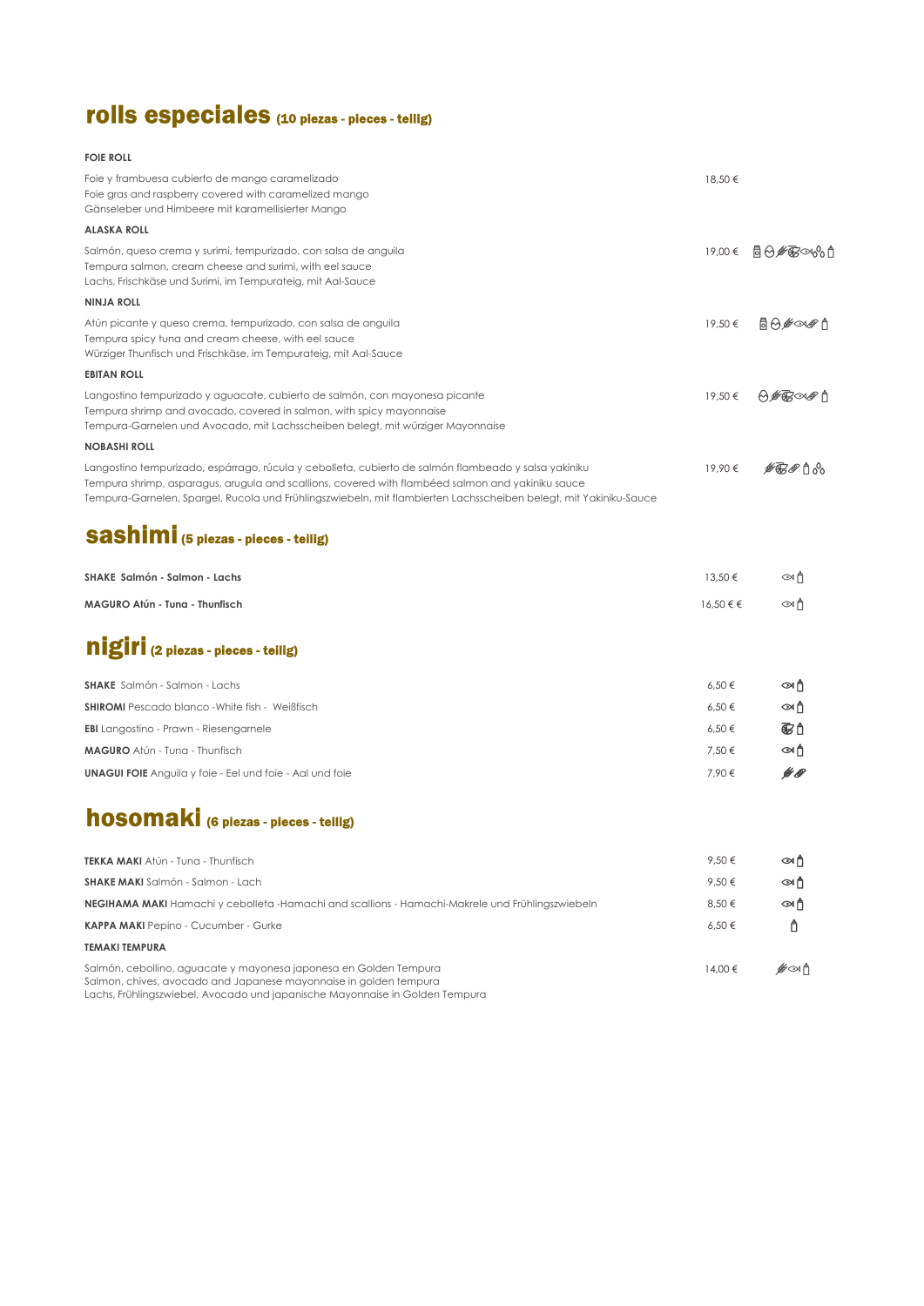## rolls especiales (10 piezas - pieces - teilig)

#### FOIE ROLL

| Foie y frambuesa cubierto de mango caramelizado<br>Foie gras and raspberry covered with caramelized mango<br>Gänseleber und Himbeere mit karamellisierter Mango                                                                                                                                                                | 18,50€     |                |
|--------------------------------------------------------------------------------------------------------------------------------------------------------------------------------------------------------------------------------------------------------------------------------------------------------------------------------|------------|----------------|
| <b>ALASKA ROLL</b>                                                                                                                                                                                                                                                                                                             |            |                |
| Salmón, queso crema y surimi, tempurizado, con salsa de anguila<br>Tempura salmon, cream cheese and surimi, with eel sauce<br>Lachs, Frischkäse und Surimi, im Tempurateig, mit Aal-Sauce                                                                                                                                      |            | 19,00€ 局☆∲弱∞☆↑ |
| <b>NINJA ROLL</b>                                                                                                                                                                                                                                                                                                              |            |                |
| Atún picante y queso crema, tempurizado, con salsa de anguila<br>Tempura spicy tuna and cream cheese, with eel sauce<br>Würziger Thunfisch und Frischkäse, im Tempurateig, mit Aal-Sauce                                                                                                                                       | 19,50€     | ⊚⊛∲∞∲          |
| <b>EBITAN ROLL</b>                                                                                                                                                                                                                                                                                                             |            |                |
| Langostino tempurizado y aguacate, cubierto de salmón, con mayonesa picante<br>Tempura shrimp and avocado, covered in salmon, with spicy mayonnaise<br>Tempura-Garnelen und Avocado, mit Lachsscheiben belegt, mit würziger Mayonnaise                                                                                         | 19.50€     | ₩₩₩₩₽          |
| <b>NOBASHI ROLL</b>                                                                                                                                                                                                                                                                                                            |            |                |
| Langostino tempurizado, espárrago, rúcula y cebolleta, cubierto de salmón flambeado y salsa yakiniku<br>Tempura shrimp, asparagus, arugula and scallions, covered with flambéed salmon and yakiniku sauce<br>Tempura-Garnelen, Spargel, Rucola und Frühlingszwiebeln, mit flambierten Lachsscheiben belegt, mit Yakiniku-Sauce | 19.90€     | <i>∯ങ®</i> ಗಿஃ |
| <b>Sashimi</b> (5 plezas - pleces - tellig)                                                                                                                                                                                                                                                                                    |            |                |
| SHAKE Salmón - Salmon - Lachs                                                                                                                                                                                                                                                                                                  | 13.50 €    | ∞ñ             |
| MAGURO Atún - Tung - Thunfisch                                                                                                                                                                                                                                                                                                 | 16,50€€    | ∞⋔             |
| nigiri (2 plezas - pleces - tellig)                                                                                                                                                                                                                                                                                            |            |                |
| <b>SHAKE</b> Salmón - Salmon - Lachs                                                                                                                                                                                                                                                                                           | $6,50 \in$ | ன்             |
| <b>SHIROMI</b> Pescado blanco - White fish - Weißfisch                                                                                                                                                                                                                                                                         | 6,50€      | ಞಗಿ            |
| <b>EBI</b> Langostino - Prawn - Riesengamele                                                                                                                                                                                                                                                                                   | 6,50€      | 69             |
| <b>MAGURO</b> Atún - Tung - Thunfisch                                                                                                                                                                                                                                                                                          | 7,50 €     | அ௺             |
| <b>UNAGUI FOIE</b> Anguila y foie - Eel und foie - Aal und foie                                                                                                                                                                                                                                                                | 7,90€      | ¥ O            |
| <b>hosomaki</b> (6 plezas - pleces - tellig)                                                                                                                                                                                                                                                                                   |            |                |

| <b>TEKKA MAKI</b> Atún - Tung - Thunfisch                                                                                                                                                                              | 9.50€       | ன்  |
|------------------------------------------------------------------------------------------------------------------------------------------------------------------------------------------------------------------------|-------------|-----|
| <b>SHAKE MAKI</b> Salmón - Salmon - Lach                                                                                                                                                                               | 9.50€       | அரி |
| <b>NEGIHAMA MAKI</b> Hamachi y cebolleta -Hamachi and scallions - Hamachi-Makrele und Frühlingszwiebeln                                                                                                                | 8.50 €      | அரி |
| <b>KAPPA MAKI</b> Pepino - Cucumber - Gurke                                                                                                                                                                            | 6.50€       |     |
| <b>TEMAKI TEMPURA</b>                                                                                                                                                                                                  |             |     |
| Salmón, cebollino, aguacate y mayonesa japonesa en Golden Tempura<br>Salmon, chives, avocado and Japanese mayonnaise in golden tempura<br>Lachs, Frühlingszwiebel, Avocado und japanische Mayonnaise in Golden Tempura | $14.00 \in$ | է∞∱ |